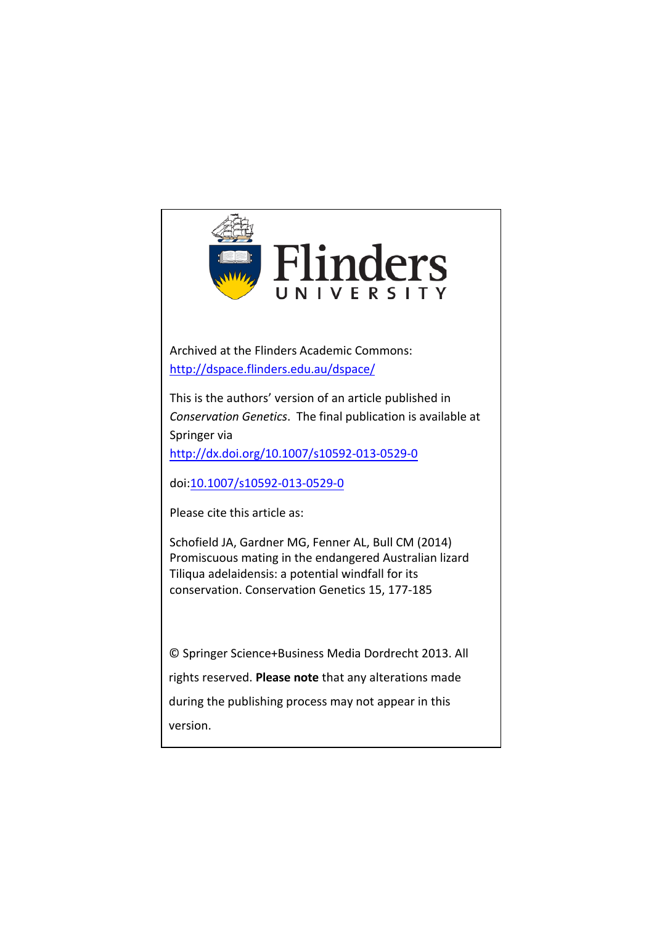

Archived at the Flinders Academic Commons: <http://dspace.flinders.edu.au/dspace/>

This is the authors' version of an article published in *Conservation Genetics*. The final publication is available at Springer via

[http://dx.doi.org/10.1007/s10592-013-0529-0](http://link.springer.com/journal/10592)

doi:[10.1007/s10592-013-0529-0](http://dx.doi.org/10.1007/s10592-013-0529-0)

Please cite this article as:

Schofield JA, Gardner MG, Fenner AL, Bull CM (2014) Promiscuous mating in the endangered Australian lizard Tiliqua adelaidensis: a potential windfall for its conservation. Conservation Genetics 15, 177-185

© Springer Science+Business Media Dordrecht 2013. All rights reserved. **Please note** that any alterations made during the publishing process may not appear in this version.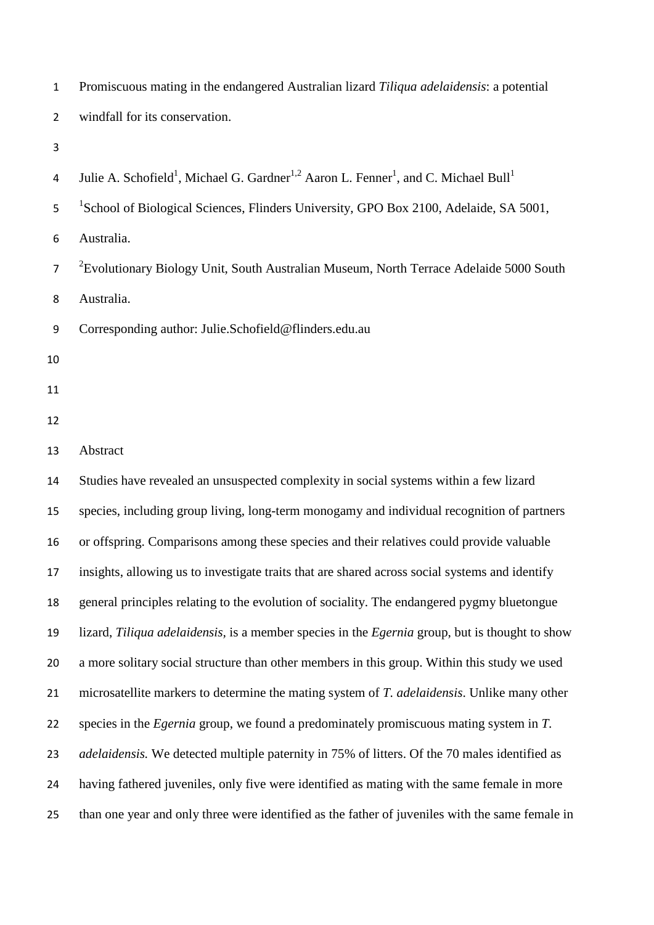| $\mathbf{1}$   | Promiscuous mating in the endangered Australian lizard Tiliqua adelaidensis: a potential                                            |
|----------------|-------------------------------------------------------------------------------------------------------------------------------------|
| $\overline{2}$ | windfall for its conservation.                                                                                                      |
| 3              |                                                                                                                                     |
| 4              | Julie A. Schofield <sup>1</sup> , Michael G. Gardner <sup>1,2</sup> Aaron L. Fenner <sup>1</sup> , and C. Michael Bull <sup>1</sup> |
| 5              | <sup>1</sup> School of Biological Sciences, Flinders University, GPO Box 2100, Adelaide, SA 5001,                                   |
| 6              | Australia.                                                                                                                          |
| $\overline{7}$ | <sup>2</sup> Evolutionary Biology Unit, South Australian Museum, North Terrace Adelaide 5000 South                                  |
| 8              | Australia.                                                                                                                          |
| 9              | Corresponding author: Julie.Schofield@flinders.edu.au                                                                               |
| 10             |                                                                                                                                     |
| 11             |                                                                                                                                     |
| 12             |                                                                                                                                     |
| 13             | Abstract                                                                                                                            |
| 14             | Studies have revealed an unsuspected complexity in social systems within a few lizard                                               |
| 15             | species, including group living, long-term monogamy and individual recognition of partners                                          |
| 16             | or offspring. Comparisons among these species and their relatives could provide valuable                                            |
| 17             | insights, allowing us to investigate traits that are shared across social systems and identify                                      |
| 18             | general principles relating to the evolution of sociality. The endangered pygmy bluetongue                                          |
| 19             | lizard, Tiliqua adelaidensis, is a member species in the Egernia group, but is thought to show                                      |
| 20             | a more solitary social structure than other members in this group. Within this study we used                                        |
| 21             | microsatellite markers to determine the mating system of T. adelaidensis. Unlike many other                                         |
| 22             | species in the <i>Egernia</i> group, we found a predominately promiscuous mating system in T.                                       |
| 23             | <i>adelaidensis</i> . We detected multiple paternity in 75% of litters. Of the 70 males identified as                               |
| 24             | having fathered juveniles, only five were identified as mating with the same female in more                                         |
| 25             | than one year and only three were identified as the father of juveniles with the same female in                                     |
|                |                                                                                                                                     |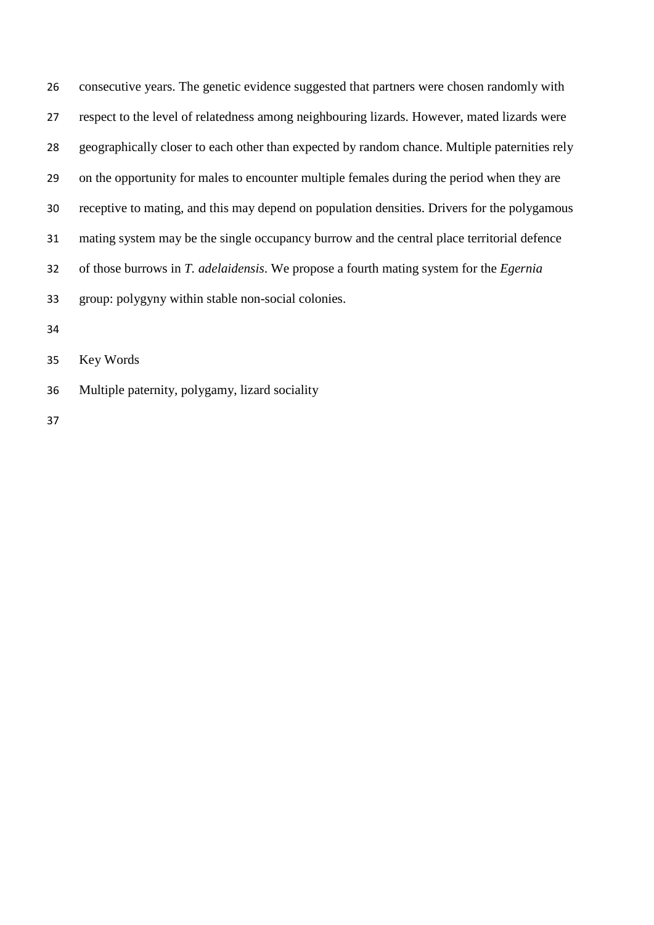consecutive years. The genetic evidence suggested that partners were chosen randomly with respect to the level of relatedness among neighbouring lizards. However, mated lizards were geographically closer to each other than expected by random chance. Multiple paternities rely on the opportunity for males to encounter multiple females during the period when they are receptive to mating, and this may depend on population densities. Drivers for the polygamous mating system may be the single occupancy burrow and the central place territorial defence of those burrows in *T. adelaidensis*. We propose a fourth mating system for the *Egernia* group: polygyny within stable non-social colonies.

Key Words

Multiple paternity, polygamy, lizard sociality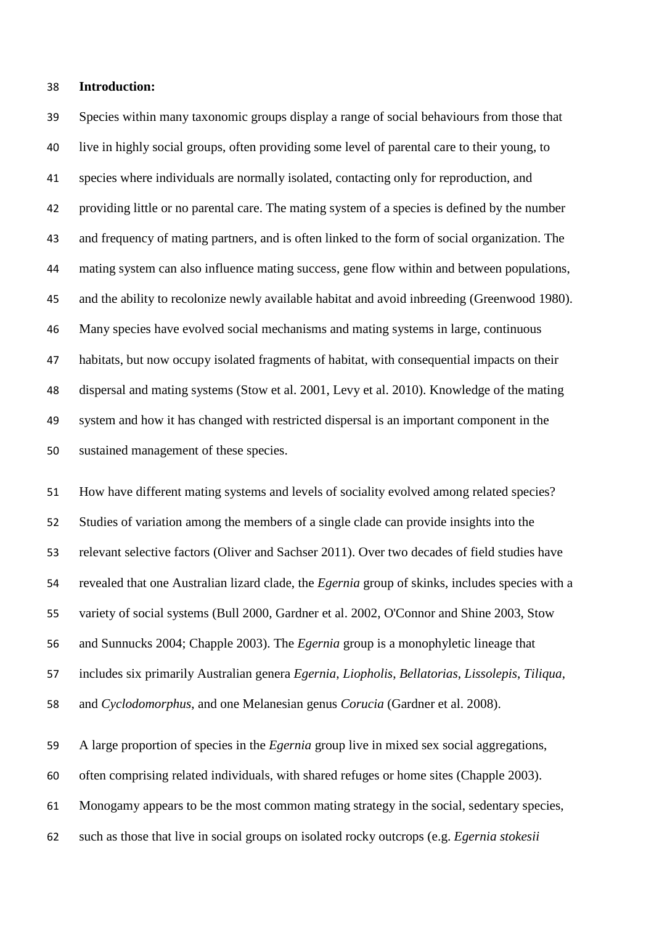### **Introduction:**

 Species within many taxonomic groups display a range of social behaviours from those that live in highly social groups, often providing some level of parental care to their young, to species where individuals are normally isolated, contacting only for reproduction, and providing little or no parental care. The mating system of a species is defined by the number and frequency of mating partners, and is often linked to the form of social organization. The mating system can also influence mating success, gene flow within and between populations, and the ability to recolonize newly available habitat and avoid inbreeding (Greenwood 1980). Many species have evolved social mechanisms and mating systems in large, continuous habitats, but now occupy isolated fragments of habitat, with consequential impacts on their dispersal and mating systems (Stow et al. 2001, Levy et al. 2010). Knowledge of the mating system and how it has changed with restricted dispersal is an important component in the sustained management of these species.

 How have different mating systems and levels of sociality evolved among related species? Studies of variation among the members of a single clade can provide insights into the relevant selective factors (Oliver and Sachser 2011). Over two decades of field studies have revealed that one Australian lizard clade, the *Egernia* group of skinks, includes species with a variety of social systems (Bull 2000, Gardner et al. 2002, O'Connor and Shine 2003, Stow and Sunnucks 2004; Chapple 2003). The *Egernia* group is a monophyletic lineage that includes six primarily Australian genera *Egernia*, *Liopholis*, *Bellatorias*, *Lissolepis*, *Tiliqua*, and *Cyclodomorphus*, and one Melanesian genus *Corucia* (Gardner et al. 2008).

A large proportion of species in the *Egernia* group live in mixed sex social aggregations,

often comprising related individuals, with shared refuges or home sites (Chapple 2003).

Monogamy appears to be the most common mating strategy in the social, sedentary species,

such as those that live in social groups on isolated rocky outcrops (e.g. *Egernia stokesii*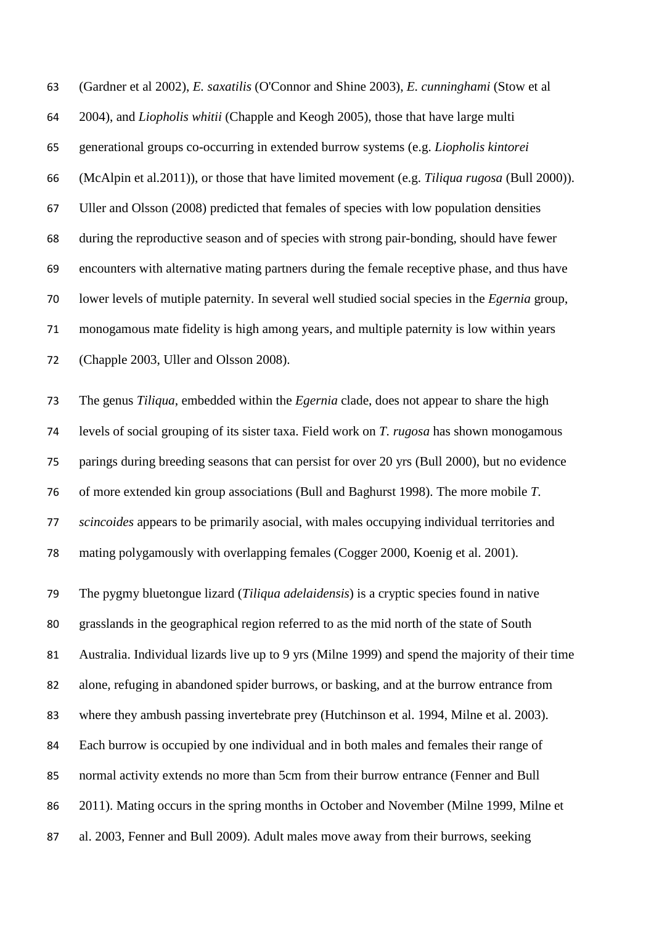(Gardner et al 2002), *E. saxatilis* (O'Connor and Shine 2003), *E. cunninghami* (Stow et al 2004), and *Liopholis whitii* (Chapple and Keogh 2005), those that have large multi generational groups co-occurring in extended burrow systems (e.g. *Liopholis kintorei* (McAlpin et al.2011)), or those that have limited movement (e.g. *Tiliqua rugosa* (Bull 2000)). Uller and Olsson (2008) predicted that females of species with low population densities during the reproductive season and of species with strong pair-bonding, should have fewer encounters with alternative mating partners during the female receptive phase, and thus have lower levels of mutiple paternity. In several well studied social species in the *Egernia* group, monogamous mate fidelity is high among years, and multiple paternity is low within years (Chapple 2003, Uller and Olsson 2008).

 The genus *Tiliqua*, embedded within the *Egernia* clade, does not appear to share the high levels of social grouping of its sister taxa. Field work on *T. rugosa* has shown monogamous parings during breeding seasons that can persist for over 20 yrs (Bull 2000), but no evidence of more extended kin group associations (Bull and Baghurst 1998). The more mobile *T. scincoides* appears to be primarily asocial, with males occupying individual territories and mating polygamously with overlapping females (Cogger 2000, Koenig et al. 2001).

 The pygmy bluetongue lizard (*Tiliqua adelaidensis*) is a cryptic species found in native grasslands in the geographical region referred to as the mid north of the state of South Australia. Individual lizards live up to 9 yrs (Milne 1999) and spend the majority of their time alone, refuging in abandoned spider burrows, or basking, and at the burrow entrance from where they ambush passing invertebrate prey (Hutchinson et al. 1994, Milne et al. 2003). Each burrow is occupied by one individual and in both males and females their range of normal activity extends no more than 5cm from their burrow entrance (Fenner and Bull 2011). Mating occurs in the spring months in October and November (Milne 1999, Milne et al. 2003, Fenner and Bull 2009). Adult males move away from their burrows, seeking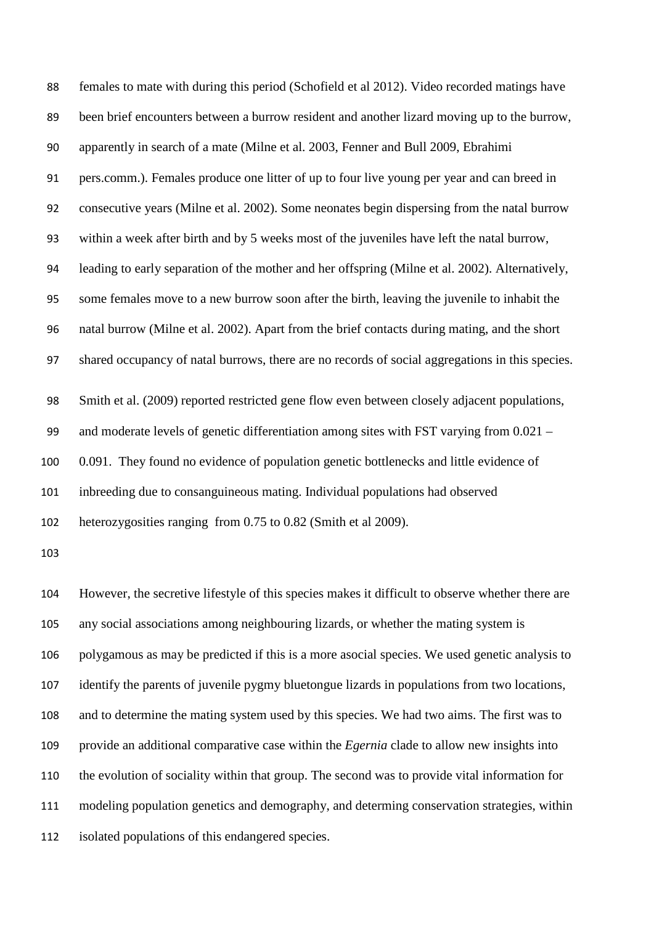females to mate with during this period (Schofield et al 2012). Video recorded matings have been brief encounters between a burrow resident and another lizard moving up to the burrow, apparently in search of a mate (Milne et al. 2003, Fenner and Bull 2009, Ebrahimi pers.comm.). Females produce one litter of up to four live young per year and can breed in consecutive years (Milne et al. 2002). Some neonates begin dispersing from the natal burrow within a week after birth and by 5 weeks most of the juveniles have left the natal burrow, leading to early separation of the mother and her offspring (Milne et al. 2002). Alternatively, some females move to a new burrow soon after the birth, leaving the juvenile to inhabit the natal burrow (Milne et al. 2002). Apart from the brief contacts during mating, and the short shared occupancy of natal burrows, there are no records of social aggregations in this species. Smith et al. (2009) reported restricted gene flow even between closely adjacent populations, and moderate levels of genetic differentiation among sites with FST varying from 0.021 – 0.091. They found no evidence of population genetic bottlenecks and little evidence of inbreeding due to consanguineous mating. Individual populations had observed heterozygosities ranging from 0.75 to 0.82 (Smith et al 2009). However, the secretive lifestyle of this species makes it difficult to observe whether there are any social associations among neighbouring lizards, or whether the mating system is polygamous as may be predicted if this is a more asocial species. We used genetic analysis to

identify the parents of juvenile pygmy bluetongue lizards in populations from two locations,

and to determine the mating system used by this species. We had two aims. The first was to

provide an additional comparative case within the *Egernia* clade to allow new insights into

the evolution of sociality within that group. The second was to provide vital information for

modeling population genetics and demography, and determing conservation strategies, within

isolated populations of this endangered species.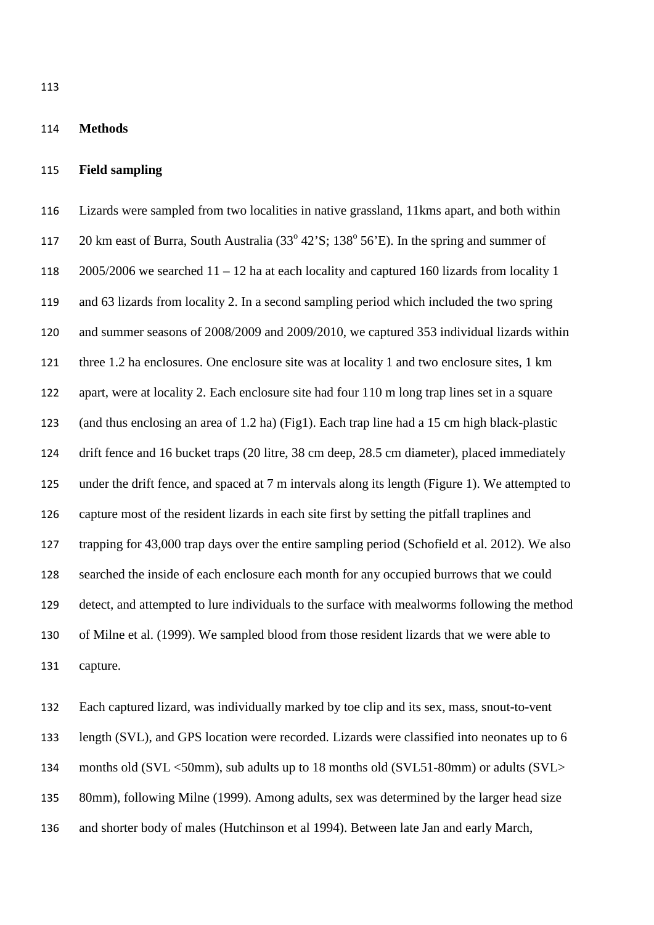#### **Methods**

#### **Field sampling**

 Lizards were sampled from two localities in native grassland, 11kms apart, and both within 117 20 km east of Burra, South Australia  $(33^{\circ} 42^{\circ}S; 138^{\circ} 56^{\circ}E)$ . In the spring and summer of 118 2005/2006 we searched  $11 - 12$  ha at each locality and captured 160 lizards from locality 1 and 63 lizards from locality 2. In a second sampling period which included the two spring and summer seasons of 2008/2009 and 2009/2010, we captured 353 individual lizards within three 1.2 ha enclosures. One enclosure site was at locality 1 and two enclosure sites, 1 km apart, were at locality 2. Each enclosure site had four 110 m long trap lines set in a square (and thus enclosing an area of 1.2 ha) (Fig1). Each trap line had a 15 cm high black-plastic drift fence and 16 bucket traps (20 litre, 38 cm deep, 28.5 cm diameter), placed immediately under the drift fence, and spaced at 7 m intervals along its length (Figure 1). We attempted to capture most of the resident lizards in each site first by setting the pitfall traplines and trapping for 43,000 trap days over the entire sampling period (Schofield et al. 2012). We also searched the inside of each enclosure each month for any occupied burrows that we could detect, and attempted to lure individuals to the surface with mealworms following the method of Milne et al. (1999). We sampled blood from those resident lizards that we were able to capture.

 Each captured lizard, was individually marked by toe clip and its sex, mass, snout-to-vent length (SVL), and GPS location were recorded. Lizards were classified into neonates up to 6 months old (SVL <50mm), sub adults up to 18 months old (SVL51-80mm) or adults (SVL> 80mm), following Milne (1999). Among adults, sex was determined by the larger head size and shorter body of males (Hutchinson et al 1994). Between late Jan and early March,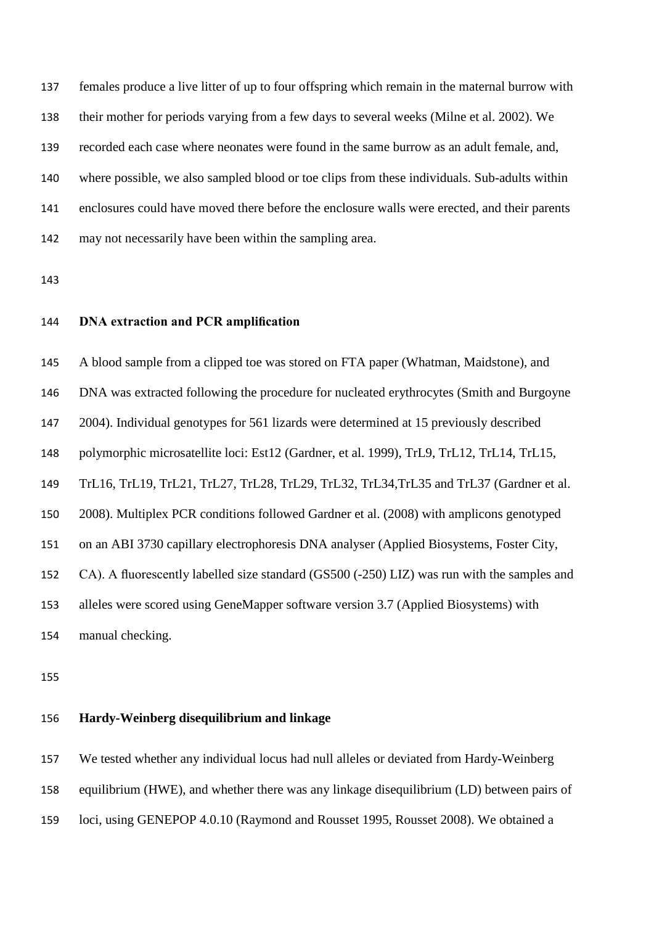females produce a live litter of up to four offspring which remain in the maternal burrow with their mother for periods varying from a few days to several weeks (Milne et al. 2002). We recorded each case where neonates were found in the same burrow as an adult female, and, where possible, we also sampled blood or toe clips from these individuals. Sub-adults within enclosures could have moved there before the enclosure walls were erected, and their parents may not necessarily have been within the sampling area.

# **DNA extraction and PCR amplification**

 A blood sample from a clipped toe was stored on FTA paper (Whatman, Maidstone), and DNA was extracted following the procedure for nucleated erythrocytes (Smith and Burgoyne 2004). Individual genotypes for 561 lizards were determined at 15 previously described polymorphic microsatellite loci: Est12 (Gardner, et al. 1999), TrL9, TrL12, TrL14, TrL15, TrL16, TrL19, TrL21, TrL27, TrL28, TrL29, TrL32, TrL34,TrL35 and TrL37 (Gardner et al. 2008). Multiplex PCR conditions followed Gardner et al. (2008) with amplicons genotyped on an ABI 3730 capillary electrophoresis DNA analyser (Applied Biosystems, Foster City, CA). A fluorescently labelled size standard (GS500 (-250) LIZ) was run with the samples and alleles were scored using GeneMapper software version 3.7 (Applied Biosystems) with manual checking.

# **Hardy-Weinberg disequilibrium and linkage**

We tested whether any individual locus had null alleles or deviated from Hardy-Weinberg

equilibrium (HWE), and whether there was any linkage disequilibrium (LD) between pairs of

loci, using GENEPOP 4.0.10 (Raymond and Rousset 1995, Rousset 2008). We obtained a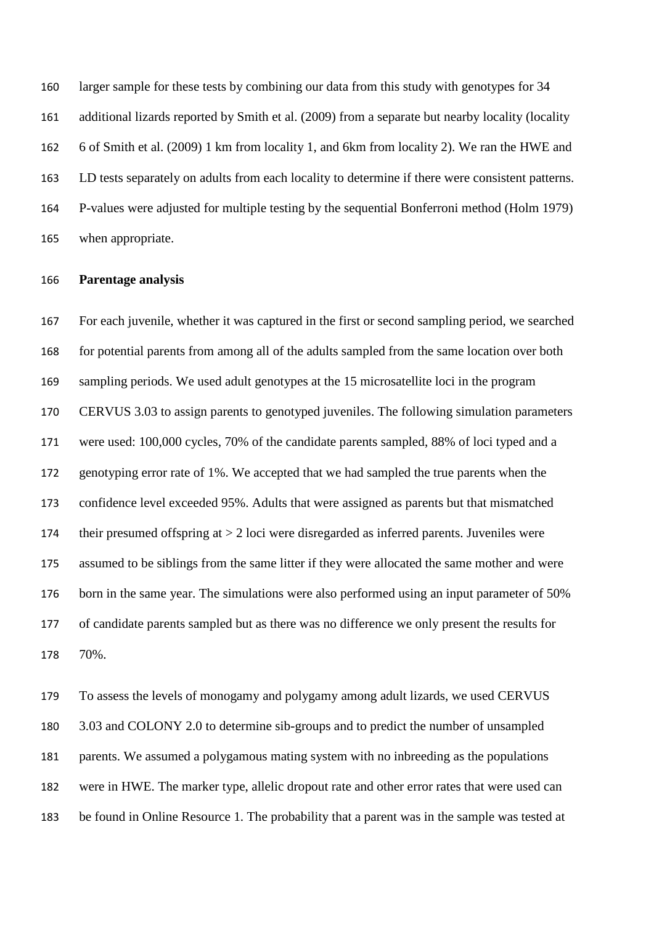larger sample for these tests by combining our data from this study with genotypes for 34 additional lizards reported by Smith et al. (2009) from a separate but nearby locality (locality 6 of Smith et al. (2009) 1 km from locality 1, and 6km from locality 2). We ran the HWE and LD tests separately on adults from each locality to determine if there were consistent patterns. P-values were adjusted for multiple testing by the sequential Bonferroni method (Holm 1979) when appropriate.

## **Parentage analysis**

 For each juvenile, whether it was captured in the first or second sampling period, we searched for potential parents from among all of the adults sampled from the same location over both sampling periods. We used adult genotypes at the 15 microsatellite loci in the program CERVUS 3.03 to assign parents to genotyped juveniles. The following simulation parameters were used: 100,000 cycles, 70% of the candidate parents sampled, 88% of loci typed and a genotyping error rate of 1%. We accepted that we had sampled the true parents when the confidence level exceeded 95%. Adults that were assigned as parents but that mismatched their presumed offspring at > 2 loci were disregarded as inferred parents. Juveniles were assumed to be siblings from the same litter if they were allocated the same mother and were 176 born in the same year. The simulations were also performed using an input parameter of 50% of candidate parents sampled but as there was no difference we only present the results for 70%.

 To assess the levels of monogamy and polygamy among adult lizards, we used CERVUS 3.03 and COLONY 2.0 to determine sib-groups and to predict the number of unsampled parents. We assumed a polygamous mating system with no inbreeding as the populations were in HWE. The marker type, allelic dropout rate and other error rates that were used can be found in Online Resource 1. The probability that a parent was in the sample was tested at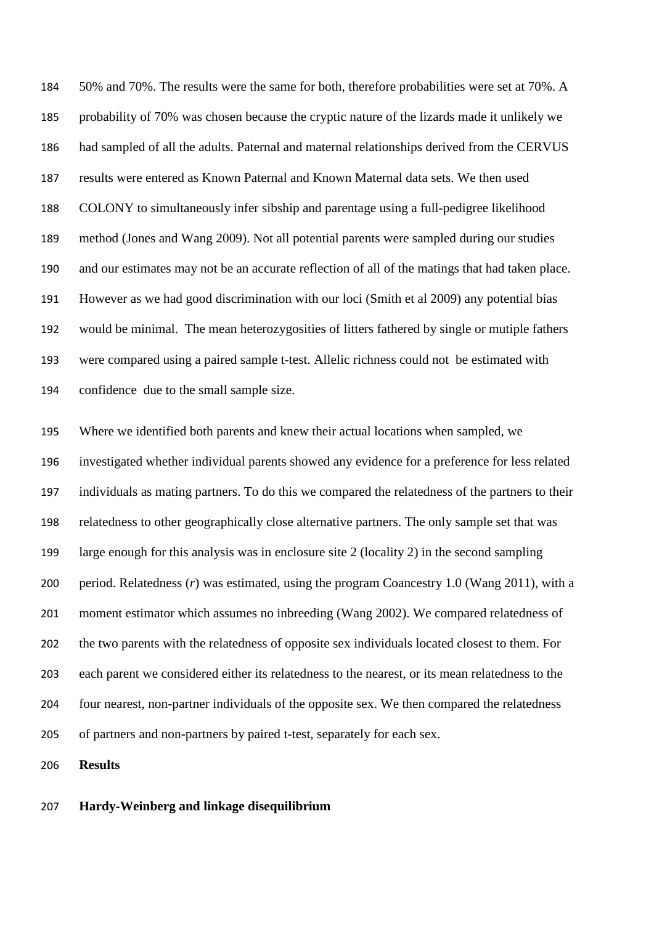50% and 70%. The results were the same for both, therefore probabilities were set at 70%. A probability of 70% was chosen because the cryptic nature of the lizards made it unlikely we had sampled of all the adults. Paternal and maternal relationships derived from the CERVUS results were entered as Known Paternal and Known Maternal data sets. We then used COLONY to simultaneously infer sibship and parentage using a full-pedigree likelihood method (Jones and Wang 2009). Not all potential parents were sampled during our studies and our estimates may not be an accurate reflection of all of the matings that had taken place. However as we had good discrimination with our loci (Smith et al 2009) any potential bias would be minimal. The mean heterozygosities of litters fathered by single or mutiple fathers were compared using a paired sample t-test. Allelic richness could not be estimated with confidence due to the small sample size.

 Where we identified both parents and knew their actual locations when sampled, we investigated whether individual parents showed any evidence for a preference for less related individuals as mating partners. To do this we compared the relatedness of the partners to their relatedness to other geographically close alternative partners. The only sample set that was large enough for this analysis was in enclosure site 2 (locality 2) in the second sampling period. Relatedness (*r*) was estimated, using the program Coancestry 1.0 (Wang 2011), with a moment estimator which assumes no inbreeding (Wang 2002). We compared relatedness of the two parents with the relatedness of opposite sex individuals located closest to them. For each parent we considered either its relatedness to the nearest, or its mean relatedness to the four nearest, non-partner individuals of the opposite sex. We then compared the relatedness of partners and non-partners by paired t-test, separately for each sex.

**Results**

## **Hardy-Weinberg and linkage disequilibrium**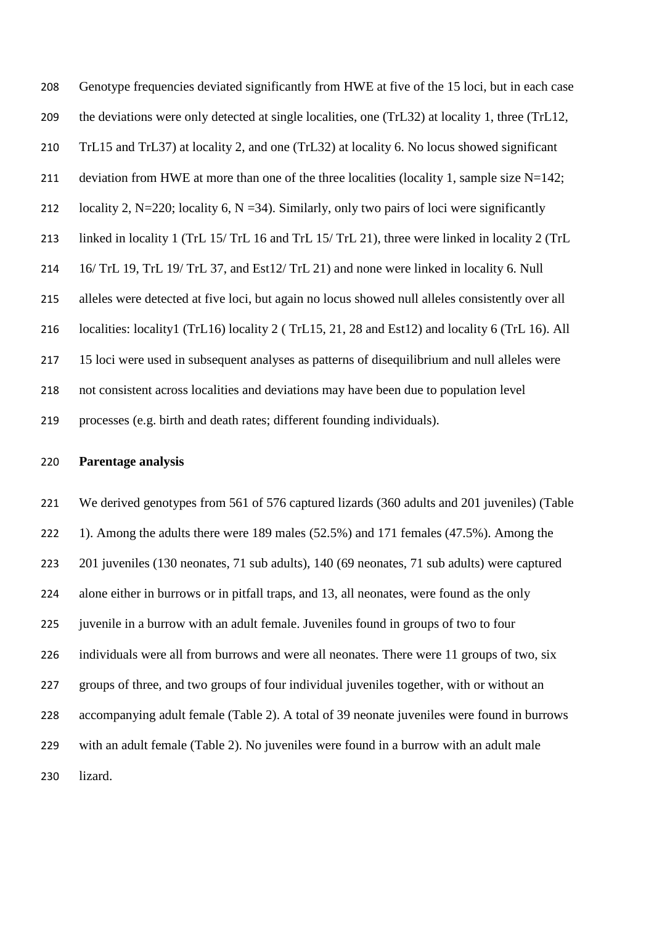Genotype frequencies deviated significantly from HWE at five of the 15 loci, but in each case the deviations were only detected at single localities, one (TrL32) at locality 1, three (TrL12, TrL15 and TrL37) at locality 2, and one (TrL32) at locality 6. No locus showed significant 211 deviation from HWE at more than one of the three localities (locality 1, sample size N=142; 212 locality 2, N=220; locality 6, N =34). Similarly, only two pairs of loci were significantly linked in locality 1 (TrL 15/ TrL 16 and TrL 15/ TrL 21), three were linked in locality 2 (TrL 16/ TrL 19, TrL 19/ TrL 37, and Est12/ TrL 21) and none were linked in locality 6. Null alleles were detected at five loci, but again no locus showed null alleles consistently over all localities: locality1 (TrL16) locality 2 ( TrL15, 21, 28 and Est12) and locality 6 (TrL 16). All 15 loci were used in subsequent analyses as patterns of disequilibrium and null alleles were not consistent across localities and deviations may have been due to population level processes (e.g. birth and death rates; different founding individuals).

## **Parentage analysis**

 We derived genotypes from 561 of 576 captured lizards (360 adults and 201 juveniles) (Table 1). Among the adults there were 189 males (52.5%) and 171 females (47.5%). Among the 201 juveniles (130 neonates, 71 sub adults), 140 (69 neonates, 71 sub adults) were captured alone either in burrows or in pitfall traps, and 13, all neonates, were found as the only juvenile in a burrow with an adult female. Juveniles found in groups of two to four 226 individuals were all from burrows and were all neonates. There were 11 groups of two, six groups of three, and two groups of four individual juveniles together, with or without an accompanying adult female (Table 2). A total of 39 neonate juveniles were found in burrows with an adult female (Table 2). No juveniles were found in a burrow with an adult male lizard.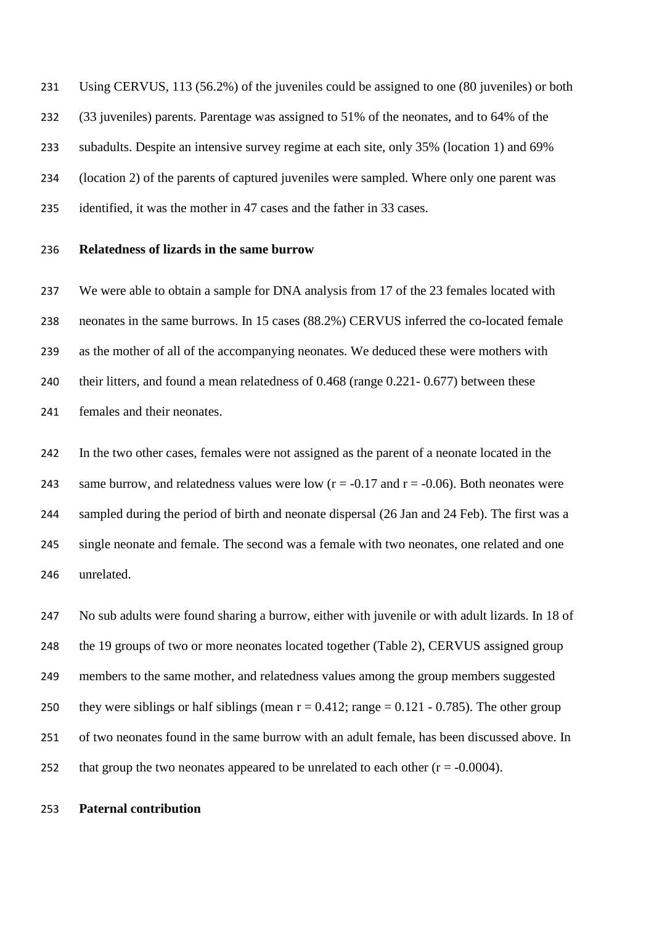Using CERVUS, 113 (56.2%) of the juveniles could be assigned to one (80 juveniles) or both (33 juveniles) parents. Parentage was assigned to 51% of the neonates, and to 64% of the subadults. Despite an intensive survey regime at each site, only 35% (location 1) and 69% (location 2) of the parents of captured juveniles were sampled. Where only one parent was identified, it was the mother in 47 cases and the father in 33 cases.

## **Relatedness of lizards in the same burrow**

 We were able to obtain a sample for DNA analysis from 17 of the 23 females located with neonates in the same burrows. In 15 cases (88.2%) CERVUS inferred the co-located female as the mother of all of the accompanying neonates. We deduced these were mothers with their litters, and found a mean relatedness of 0.468 (range 0.221- 0.677) between these females and their neonates.

 In the two other cases, females were not assigned as the parent of a neonate located in the 243 same burrow, and relatedness values were low  $(r = -0.17$  and  $r = -0.06$ ). Both neonates were sampled during the period of birth and neonate dispersal (26 Jan and 24 Feb). The first was a single neonate and female. The second was a female with two neonates, one related and one unrelated.

 No sub adults were found sharing a burrow, either with juvenile or with adult lizards. In 18 of the 19 groups of two or more neonates located together (Table 2), CERVUS assigned group members to the same mother, and relatedness values among the group members suggested 250 they were siblings or half siblings (mean  $r = 0.412$ ; range  $= 0.121 - 0.785$ ). The other group of two neonates found in the same burrow with an adult female, has been discussed above. In 252 that group the two neonates appeared to be unrelated to each other  $(r = -0.0004)$ .

## **Paternal contribution**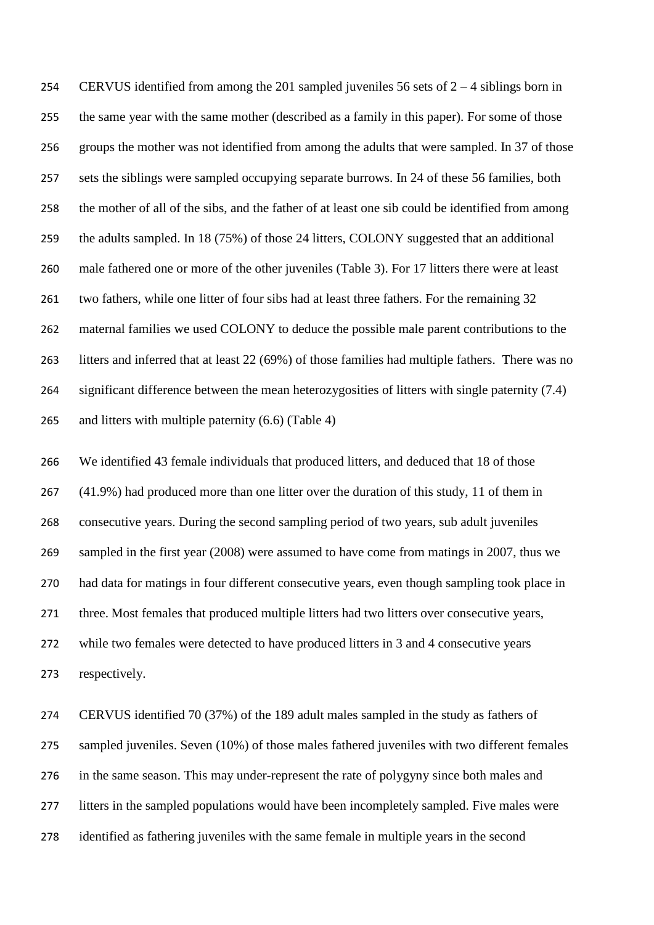CERVUS identified from among the 201 sampled juveniles 56 sets of 2 – 4 siblings born in the same year with the same mother (described as a family in this paper). For some of those groups the mother was not identified from among the adults that were sampled. In 37 of those sets the siblings were sampled occupying separate burrows. In 24 of these 56 families, both the mother of all of the sibs, and the father of at least one sib could be identified from among the adults sampled. In 18 (75%) of those 24 litters, COLONY suggested that an additional male fathered one or more of the other juveniles (Table 3). For 17 litters there were at least two fathers, while one litter of four sibs had at least three fathers. For the remaining 32 maternal families we used COLONY to deduce the possible male parent contributions to the litters and inferred that at least 22 (69%) of those families had multiple fathers. There was no significant difference between the mean heterozygosities of litters with single paternity (7.4) 265 and litters with multiple paternity (6.6) (Table 4)

 We identified 43 female individuals that produced litters, and deduced that 18 of those (41.9%) had produced more than one litter over the duration of this study, 11 of them in consecutive years. During the second sampling period of two years, sub adult juveniles sampled in the first year (2008) were assumed to have come from matings in 2007, thus we had data for matings in four different consecutive years, even though sampling took place in three. Most females that produced multiple litters had two litters over consecutive years, while two females were detected to have produced litters in 3 and 4 consecutive years respectively.

 CERVUS identified 70 (37%) of the 189 adult males sampled in the study as fathers of sampled juveniles. Seven (10%) of those males fathered juveniles with two different females in the same season. This may under-represent the rate of polygyny since both males and 277 litters in the sampled populations would have been incompletely sampled. Five males were identified as fathering juveniles with the same female in multiple years in the second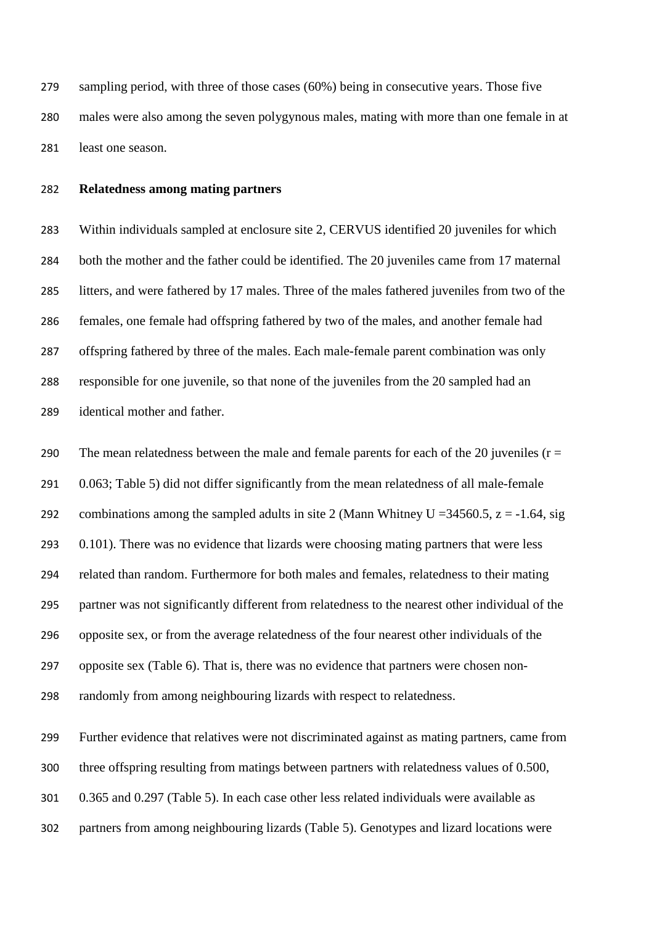sampling period, with three of those cases (60%) being in consecutive years. Those five males were also among the seven polygynous males, mating with more than one female in at least one season.

## **Relatedness among mating partners**

 Within individuals sampled at enclosure site 2, CERVUS identified 20 juveniles for which both the mother and the father could be identified. The 20 juveniles came from 17 maternal litters, and were fathered by 17 males. Three of the males fathered juveniles from two of the females, one female had offspring fathered by two of the males, and another female had offspring fathered by three of the males. Each male-female parent combination was only responsible for one juvenile, so that none of the juveniles from the 20 sampled had an identical mother and father.

290 The mean relatedness between the male and female parents for each of the 20 juveniles ( $r =$  0.063; Table 5) did not differ significantly from the mean relatedness of all male-female 292 combinations among the sampled adults in site 2 (Mann Whitney U = 34560.5,  $z = -1.64$ , sig 293 0.101). There was no evidence that lizards were choosing mating partners that were less related than random. Furthermore for both males and females, relatedness to their mating partner was not significantly different from relatedness to the nearest other individual of the opposite sex, or from the average relatedness of the four nearest other individuals of the opposite sex (Table 6). That is, there was no evidence that partners were chosen non-randomly from among neighbouring lizards with respect to relatedness.

Further evidence that relatives were not discriminated against as mating partners, came from

three offspring resulting from matings between partners with relatedness values of 0.500,

- 0.365 and 0.297 (Table 5). In each case other less related individuals were available as
- partners from among neighbouring lizards (Table 5). Genotypes and lizard locations were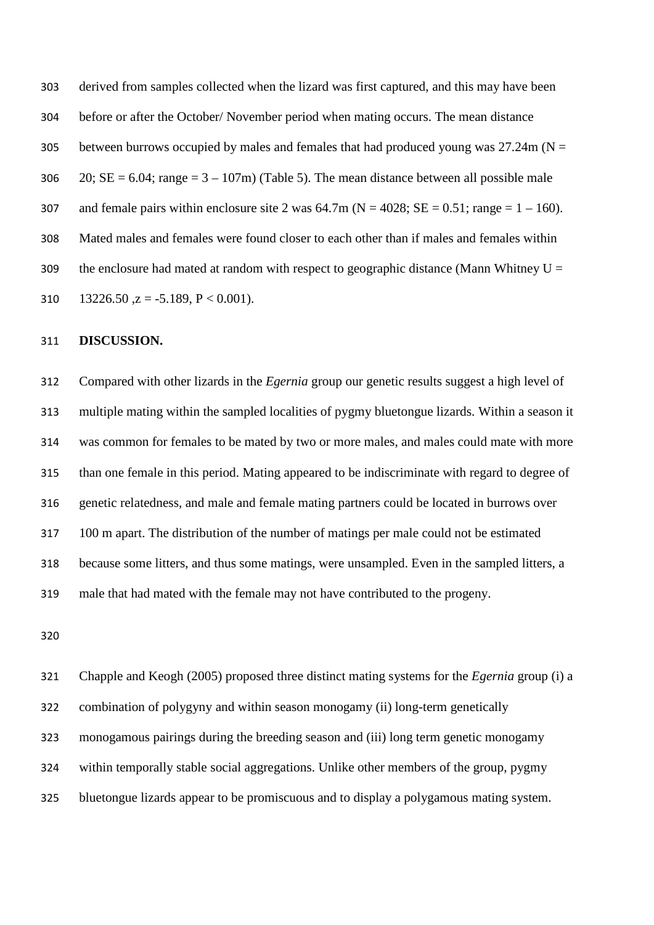derived from samples collected when the lizard was first captured, and this may have been before or after the October/ November period when mating occurs. The mean distance 305 between burrows occupied by males and females that had produced young was  $27.24$ m (N = 306 20; SE = 6.04; range =  $3 - 107$ m) (Table 5). The mean distance between all possible male 307 and female pairs within enclosure site 2 was  $64.7m$  (N = 4028; SE = 0.51; range = 1 – 160). Mated males and females were found closer to each other than if males and females within 309 the enclosure had mated at random with respect to geographic distance (Mann Whitney  $U =$ 310 13226.50  $z = -5.189$ ,  $P < 0.001$ ).

#### **DISCUSSION.**

 Compared with other lizards in the *Egernia* group our genetic results suggest a high level of multiple mating within the sampled localities of pygmy bluetongue lizards. Within a season it was common for females to be mated by two or more males, and males could mate with more than one female in this period. Mating appeared to be indiscriminate with regard to degree of genetic relatedness, and male and female mating partners could be located in burrows over 100 m apart. The distribution of the number of matings per male could not be estimated because some litters, and thus some matings, were unsampled. Even in the sampled litters, a male that had mated with the female may not have contributed to the progeny.

 Chapple and Keogh (2005) proposed three distinct mating systems for the *Egernia* group (i) a combination of polygyny and within season monogamy (ii) long-term genetically monogamous pairings during the breeding season and (iii) long term genetic monogamy within temporally stable social aggregations. Unlike other members of the group, pygmy bluetongue lizards appear to be promiscuous and to display a polygamous mating system.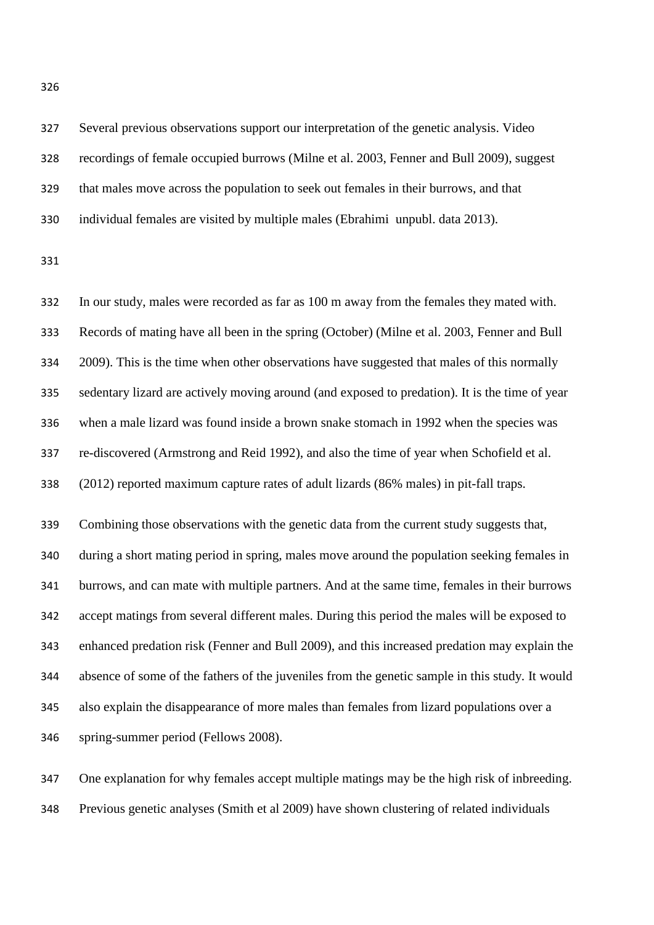Several previous observations support our interpretation of the genetic analysis. Video recordings of female occupied burrows (Milne et al. 2003, Fenner and Bull 2009), suggest that males move across the population to seek out females in their burrows, and that individual females are visited by multiple males (Ebrahimi unpubl. data 2013).

 In our study, males were recorded as far as 100 m away from the females they mated with. Records of mating have all been in the spring (October) (Milne et al. 2003, Fenner and Bull 2009). This is the time when other observations have suggested that males of this normally sedentary lizard are actively moving around (and exposed to predation). It is the time of year when a male lizard was found inside a brown snake stomach in 1992 when the species was re-discovered (Armstrong and Reid 1992), and also the time of year when Schofield et al. (2012) reported maximum capture rates of adult lizards (86% males) in pit-fall traps.

 Combining those observations with the genetic data from the current study suggests that, during a short mating period in spring, males move around the population seeking females in burrows, and can mate with multiple partners. And at the same time, females in their burrows accept matings from several different males. During this period the males will be exposed to enhanced predation risk (Fenner and Bull 2009), and this increased predation may explain the absence of some of the fathers of the juveniles from the genetic sample in this study. It would also explain the disappearance of more males than females from lizard populations over a spring-summer period (Fellows 2008).

 One explanation for why females accept multiple matings may be the high risk of inbreeding. Previous genetic analyses (Smith et al 2009) have shown clustering of related individuals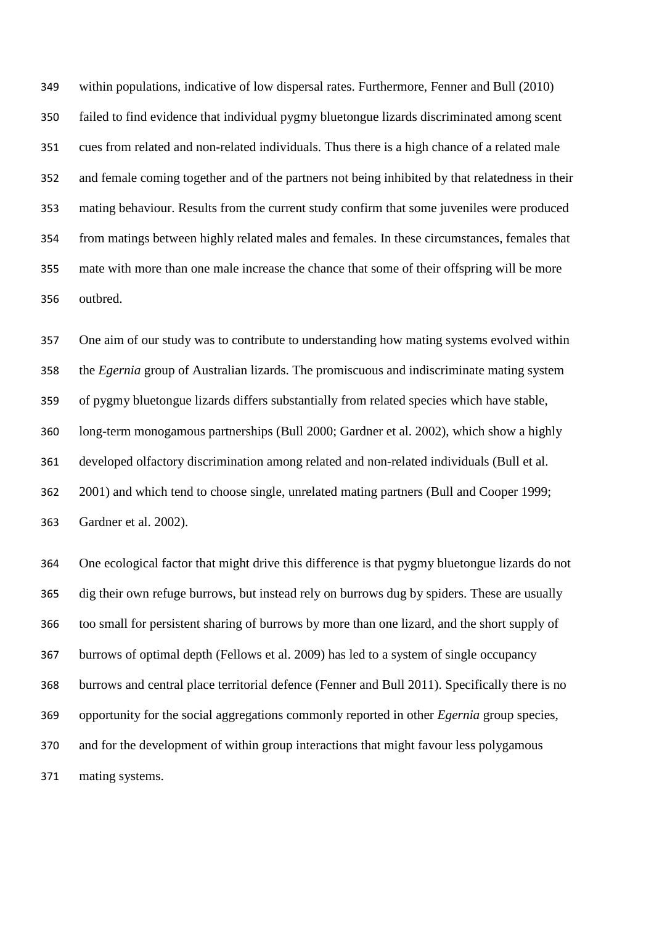within populations, indicative of low dispersal rates. Furthermore, Fenner and Bull (2010) failed to find evidence that individual pygmy bluetongue lizards discriminated among scent cues from related and non-related individuals. Thus there is a high chance of a related male and female coming together and of the partners not being inhibited by that relatedness in their mating behaviour. Results from the current study confirm that some juveniles were produced from matings between highly related males and females. In these circumstances, females that mate with more than one male increase the chance that some of their offspring will be more outbred.

 One aim of our study was to contribute to understanding how mating systems evolved within the *Egernia* group of Australian lizards. The promiscuous and indiscriminate mating system of pygmy bluetongue lizards differs substantially from related species which have stable, long-term monogamous partnerships (Bull 2000; Gardner et al. 2002), which show a highly developed olfactory discrimination among related and non-related individuals (Bull et al. 2001) and which tend to choose single, unrelated mating partners (Bull and Cooper 1999; Gardner et al. 2002).

 One ecological factor that might drive this difference is that pygmy bluetongue lizards do not dig their own refuge burrows, but instead rely on burrows dug by spiders. These are usually too small for persistent sharing of burrows by more than one lizard, and the short supply of burrows of optimal depth (Fellows et al. 2009) has led to a system of single occupancy burrows and central place territorial defence (Fenner and Bull 2011). Specifically there is no opportunity for the social aggregations commonly reported in other *Egernia* group species, and for the development of within group interactions that might favour less polygamous mating systems.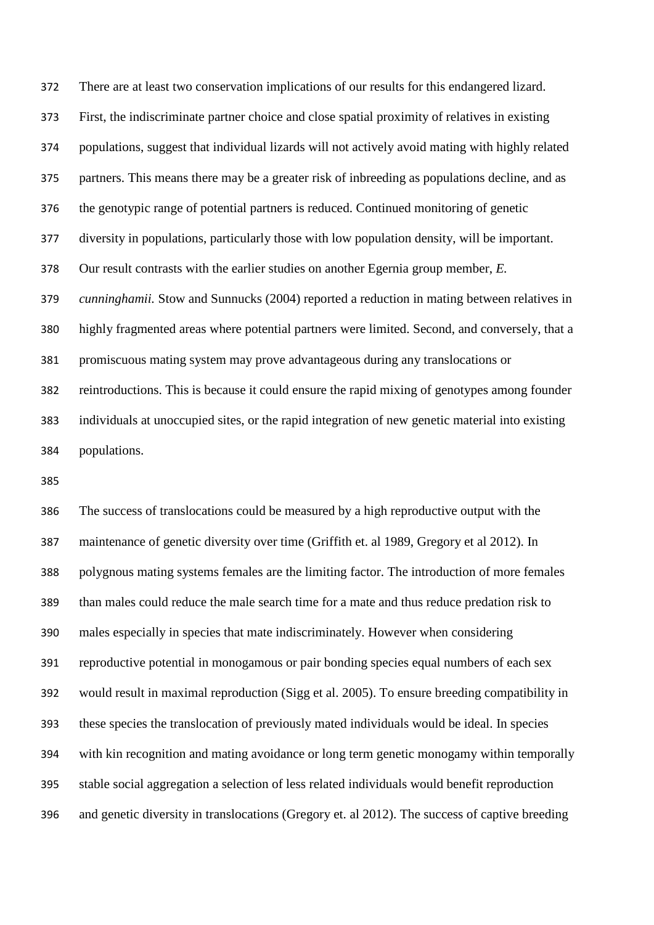There are at least two conservation implications of our results for this endangered lizard. First, the indiscriminate partner choice and close spatial proximity of relatives in existing populations, suggest that individual lizards will not actively avoid mating with highly related partners. This means there may be a greater risk of inbreeding as populations decline, and as the genotypic range of potential partners is reduced. Continued monitoring of genetic diversity in populations, particularly those with low population density, will be important. Our result contrasts with the earlier studies on another Egernia group member, *E. cunninghamii.* Stow and Sunnucks (2004) reported a reduction in mating between relatives in highly fragmented areas where potential partners were limited. Second, and conversely, that a promiscuous mating system may prove advantageous during any translocations or reintroductions. This is because it could ensure the rapid mixing of genotypes among founder individuals at unoccupied sites, or the rapid integration of new genetic material into existing populations.

 The success of translocations could be measured by a high reproductive output with the maintenance of genetic diversity over time (Griffith et. al 1989, Gregory et al 2012). In polygnous mating systems females are the limiting factor. The introduction of more females than males could reduce the male search time for a mate and thus reduce predation risk to males especially in species that mate indiscriminately. However when considering reproductive potential in monogamous or pair bonding species equal numbers of each sex would result in maximal reproduction (Sigg et al. 2005). To ensure breeding compatibility in these species the translocation of previously mated individuals would be ideal. In species with kin recognition and mating avoidance or long term genetic monogamy within temporally stable social aggregation a selection of less related individuals would benefit reproduction and genetic diversity in translocations (Gregory et. al 2012). The success of captive breeding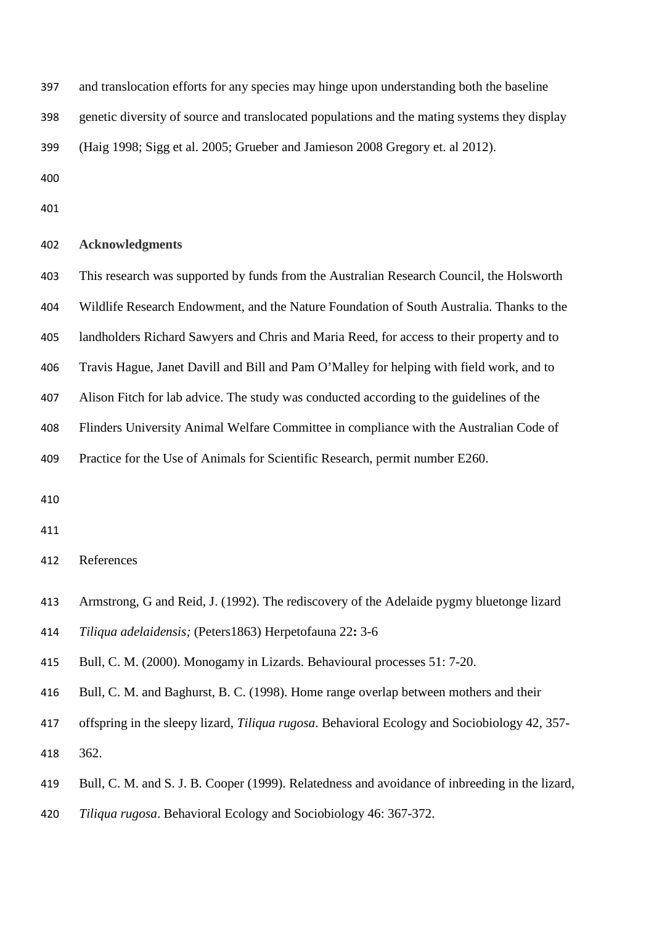and translocation efforts for any species may hinge upon understanding both the baseline

genetic diversity of source and translocated populations and the mating systems they display

(Haig 1998; Sigg et al. 2005; Grueber and Jamieson 2008 Gregory et. al 2012).

#### **Acknowledgments**

 This research was supported by funds from the Australian Research Council, the Holsworth Wildlife Research Endowment, and the Nature Foundation of South Australia. Thanks to the landholders Richard Sawyers and Chris and Maria Reed, for access to their property and to Travis Hague, Janet Davill and Bill and Pam O'Malley for helping with field work, and to Alison Fitch for lab advice. The study was conducted according to the guidelines of the Flinders University Animal Welfare Committee in compliance with the Australian Code of

Practice for the Use of Animals for Scientific Research, permit number E260.

References

 Armstrong, G and Reid, J. (1992). The rediscovery of the Adelaide pygmy bluetonge lizard *Tiliqua adelaidensis;* (Peters1863) Herpetofauna 22**:** 3-6

Bull, C. M. (2000). Monogamy in Lizards. Behavioural processes 51: 7-20.

Bull, C. M. and Baghurst, B. C. (1998). Home range overlap between mothers and their

 offspring in the sleepy lizard, *Tiliqua rugosa*. Behavioral Ecology and Sociobiology 42, 357- 362.

Bull, C. M. and S. J. B. Cooper (1999). Relatedness and avoidance of inbreeding in the lizard,

*Tiliqua rugosa*. Behavioral Ecology and Sociobiology 46: 367-372.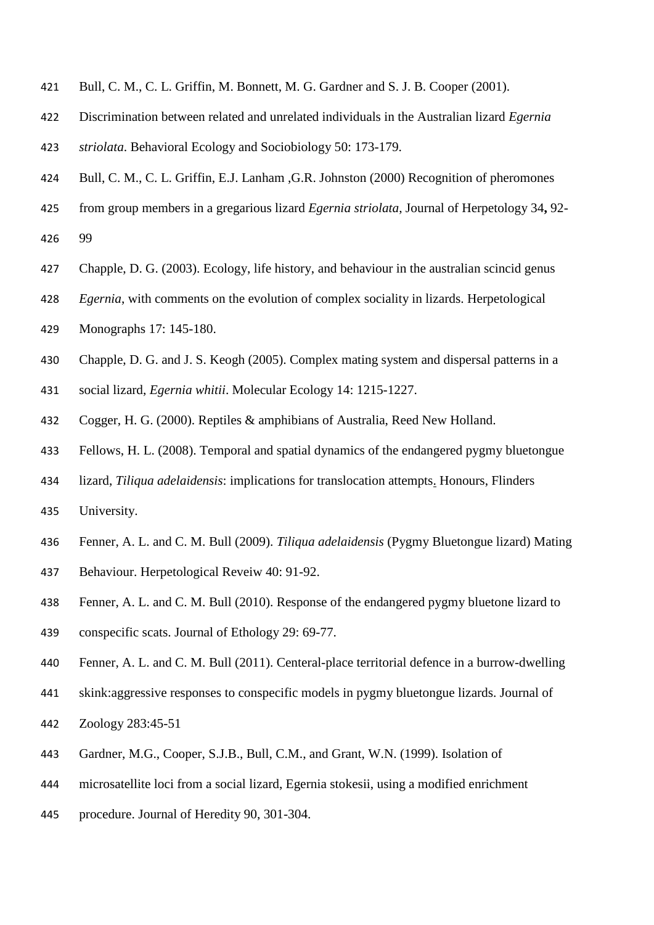- Bull, C. M., C. L. Griffin, M. Bonnett, M. G. Gardner and S. J. B. Cooper (2001).
- Discrimination between related and unrelated individuals in the Australian lizard *Egernia*
- *striolata*. Behavioral Ecology and Sociobiology 50: 173-179.
- Bull, C. M., C. L. Griffin, E.J. Lanham ,G.R. Johnston (2000) Recognition of pheromones
- from group members in a gregarious lizard *Egernia striolata*, Journal of Herpetology 34**,** 92-
- 99
- Chapple, D. G. (2003). Ecology, life history, and behaviour in the australian scincid genus
- *Egernia*, with comments on the evolution of complex sociality in lizards. Herpetological
- Monographs 17: 145-180.
- Chapple, D. G. and J. S. Keogh (2005). Complex mating system and dispersal patterns in a
- social lizard, *Egernia whitii*. Molecular Ecology 14: 1215-1227.
- Cogger, H. G. (2000). Reptiles & amphibians of Australia, Reed New Holland.
- Fellows, H. L. (2008). Temporal and spatial dynamics of the endangered pygmy bluetongue
- lizard, *Tiliqua adelaidensis*: implications for translocation attempts. Honours, Flinders University.
- Fenner, A. L. and C. M. Bull (2009). *Tiliqua adelaidensis* (Pygmy Bluetongue lizard) Mating
- Behaviour. Herpetological Reveiw 40: 91-92.
- Fenner, A. L. and C. M. Bull (2010). Response of the endangered pygmy bluetone lizard to conspecific scats. Journal of Ethology 29: 69-77.
- Fenner, A. L. and C. M. Bull (2011). Centeral-place territorial defence in a burrow-dwelling
- skink:aggressive responses to conspecific models in pygmy bluetongue lizards. Journal of
- Zoology 283:45-51
- Gardner, M.G., Cooper, S.J.B., Bull, C.M., and Grant, W.N. (1999). Isolation of
- microsatellite loci from a social lizard, Egernia stokesii, using a modified enrichment
- procedure. Journal of Heredity 90, 301-304.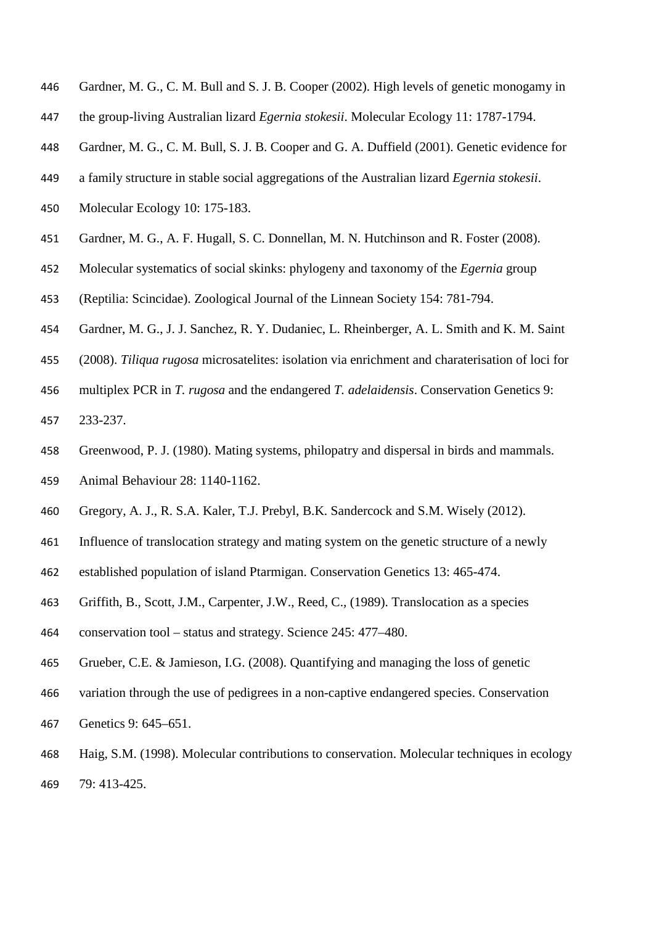- Gardner, M. G., C. M. Bull and S. J. B. Cooper (2002). High levels of genetic monogamy in
- the group-living Australian lizard *Egernia stokesii*. Molecular Ecology 11: 1787-1794.
- Gardner, M. G., C. M. Bull, S. J. B. Cooper and G. A. Duffield (2001). Genetic evidence for
- a family structure in stable social aggregations of the Australian lizard *Egernia stokesii*.
- Molecular Ecology 10: 175-183.
- Gardner, M. G., A. F. Hugall, S. C. Donnellan, M. N. Hutchinson and R. Foster (2008).
- Molecular systematics of social skinks: phylogeny and taxonomy of the *Egernia* group
- (Reptilia: Scincidae). Zoological Journal of the Linnean Society 154: 781-794.
- Gardner, M. G., J. J. Sanchez, R. Y. Dudaniec, L. Rheinberger, A. L. Smith and K. M. Saint
- (2008). *Tiliqua rugosa* microsatelites: isolation via enrichment and charaterisation of loci for
- multiplex PCR in *T. rugosa* and the endangered *T. adelaidensis*. Conservation Genetics 9:
- 233-237.
- Greenwood, P. J. (1980). Mating systems, philopatry and dispersal in birds and mammals.
- Animal Behaviour 28: 1140-1162.
- Gregory, A. J., R. S.A. Kaler, T.J. Prebyl, B.K. Sandercock and S.M. Wisely (2012).
- Influence of translocation strategy and mating system on the genetic structure of a newly
- established population of island Ptarmigan. Conservation Genetics 13: 465-474.
- Griffith, B., Scott, J.M., Carpenter, J.W., Reed, C., (1989). Translocation as a species
- conservation tool status and strategy. Science 245: 477–480.
- Grueber, C.E. & Jamieson, I.G. (2008). Quantifying and managing the loss of genetic
- variation through the use of pedigrees in a non-captive endangered species. Conservation
- Genetics 9: 645–651.
- Haig, S.M. (1998). Molecular contributions to conservation. Molecular techniques in ecology 79: 413-425.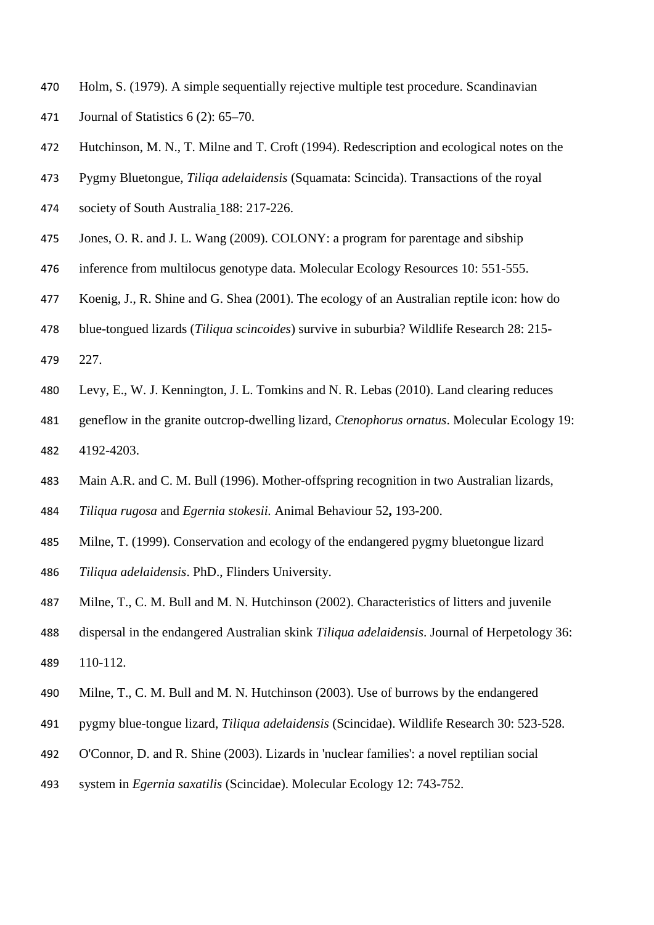- Holm, S. (1979). A simple sequentially rejective multiple test procedure. Scandinavian Journal of Statistics 6 (2): 65–70.
- Hutchinson, M. N., T. Milne and T. Croft (1994). Redescription and ecological notes on the
- Pygmy Bluetongue, *Tiliqa adelaidensis* (Squamata: Scincida). Transactions of the royal
- society of South Australia 188: 217-226.
- Jones, O. R. and J. L. Wang (2009). COLONY: a program for parentage and sibship
- inference from multilocus genotype data. Molecular Ecology Resources 10: 551-555.
- Koenig, J., R. Shine and G. Shea (2001). The ecology of an Australian reptile icon: how do
- blue-tongued lizards (*Tiliqua scincoides*) survive in suburbia? Wildlife Research 28: 215-
- 227.
- Levy, E., W. J. Kennington, J. L. Tomkins and N. R. Lebas (2010). Land clearing reduces
- geneflow in the granite outcrop-dwelling lizard, *Ctenophorus ornatus*. Molecular Ecology 19: 4192-4203.
- Main A.R. and C. M. Bull (1996). Mother-offspring recognition in two Australian lizards,
- *Tiliqua rugosa* and *Egernia stokesii.* Animal Behaviour 52**,** 193-200.
- Milne, T. (1999). Conservation and ecology of the endangered pygmy bluetongue lizard *Tiliqua adelaidensis*. PhD., Flinders University.
- Milne, T., C. M. Bull and M. N. Hutchinson (2002). Characteristics of litters and juvenile
- dispersal in the endangered Australian skink *Tiliqua adelaidensis*. Journal of Herpetology 36: 110-112.
- Milne, T., C. M. Bull and M. N. Hutchinson (2003). Use of burrows by the endangered
- pygmy blue-tongue lizard, *Tiliqua adelaidensis* (Scincidae). Wildlife Research 30: 523-528.
- O'Connor, D. and R. Shine (2003). Lizards in 'nuclear families': a novel reptilian social
- system in *Egernia saxatilis* (Scincidae). Molecular Ecology 12: 743-752.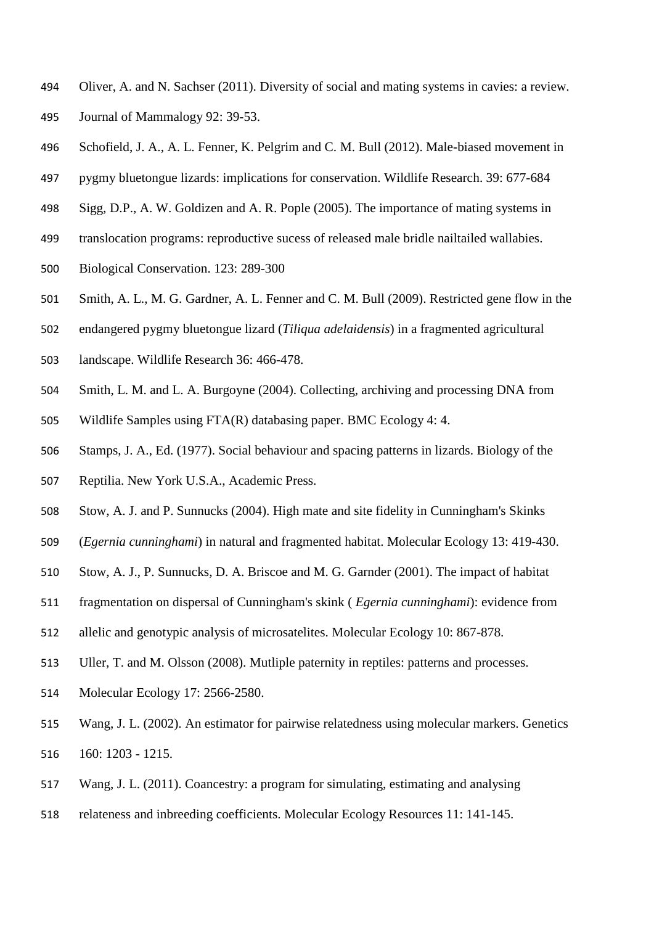- Oliver, A. and N. Sachser (2011). Diversity of social and mating systems in cavies: a review. Journal of Mammalogy 92: 39-53.
- Schofield, J. A., A. L. Fenner, K. Pelgrim and C. M. Bull (2012). Male-biased movement in
- pygmy bluetongue lizards: implications for conservation. Wildlife Research. 39: 677-684
- Sigg, D.P., A. W. Goldizen and A. R. Pople (2005). The importance of mating systems in
- translocation programs: reproductive sucess of released male bridle nailtailed wallabies.
- Biological Conservation. 123: 289-300
- Smith, A. L., M. G. Gardner, A. L. Fenner and C. M. Bull (2009). Restricted gene flow in the
- endangered pygmy bluetongue lizard (*Tiliqua adelaidensis*) in a fragmented agricultural
- landscape. Wildlife Research 36: 466-478.
- Smith, L. M. and L. A. Burgoyne (2004). Collecting, archiving and processing DNA from
- Wildlife Samples using FTA(R) databasing paper. BMC Ecology 4: 4.
- Stamps, J. A., Ed. (1977). Social behaviour and spacing patterns in lizards. Biology of the
- Reptilia. New York U.S.A., Academic Press.
- Stow, A. J. and P. Sunnucks (2004). High mate and site fidelity in Cunningham's Skinks
- (*Egernia cunninghami*) in natural and fragmented habitat. Molecular Ecology 13: 419-430.
- Stow, A. J., P. Sunnucks, D. A. Briscoe and M. G. Garnder (2001). The impact of habitat
- fragmentation on dispersal of Cunningham's skink ( *Egernia cunninghami*): evidence from
- allelic and genotypic analysis of microsatelites. Molecular Ecology 10: 867-878.
- Uller, T. and M. Olsson (2008). Mutliple paternity in reptiles: patterns and processes.
- Molecular Ecology 17: 2566-2580.
- Wang, J. L. (2002). An estimator for pairwise relatedness using molecular markers. Genetics 160: 1203 - 1215.
- Wang, J. L. (2011). Coancestry: a program for simulating, estimating and analysing
- relateness and inbreeding coefficients. Molecular Ecology Resources 11: 141-145.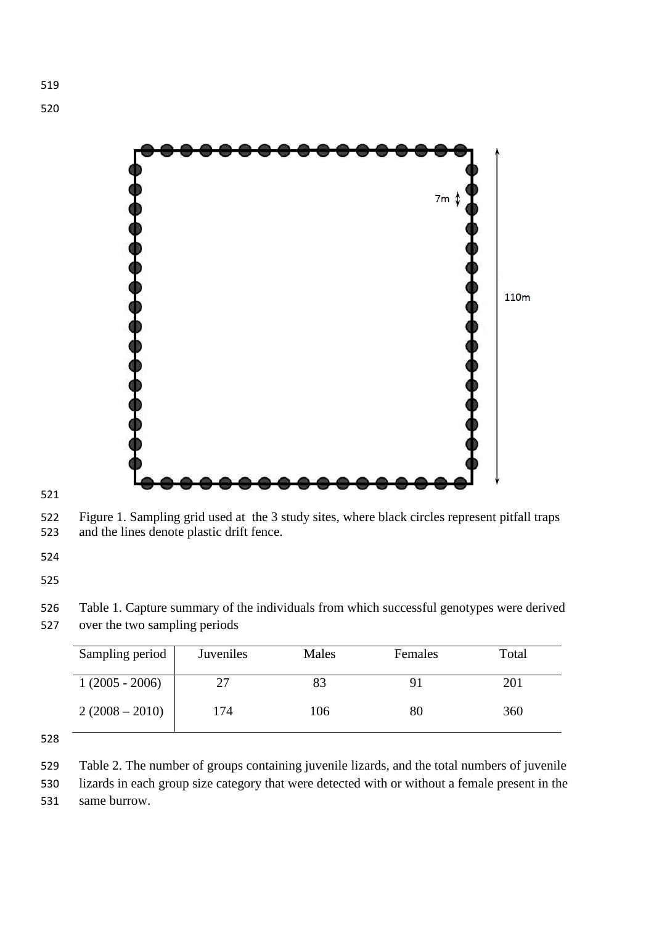

 Figure 1. Sampling grid used at the 3 study sites, where black circles represent pitfall traps and the lines denote plastic drift fence.

 Table 1. Capture summary of the individuals from which successful genotypes were derived over the two sampling periods

| Sampling period  | Juveniles | Males | Females | Total |
|------------------|-----------|-------|---------|-------|
| $1(2005 - 2006)$ | 77        |       | q.      | 201   |
| $2(2008 - 2010)$ | 174       | 106   | 80      | 360   |

 Table 2. The number of groups containing juvenile lizards, and the total numbers of juvenile lizards in each group size category that were detected with or without a female present in the same burrow.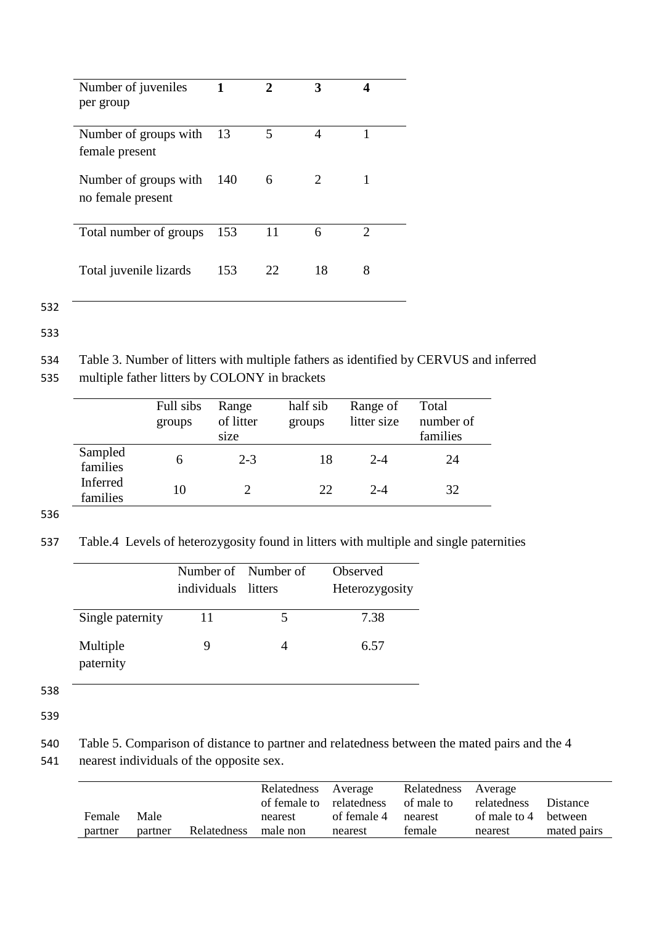| Number of juveniles<br>per group           |     | 2  |                             |               |
|--------------------------------------------|-----|----|-----------------------------|---------------|
| Number of groups with<br>female present    | 13  | 5  |                             |               |
| Number of groups with<br>no female present | 140 | 6  | $\mathcal{D}_{\mathcal{L}}$ |               |
| Total number of groups                     | 153 |    | 6                           | $\mathcal{D}$ |
| Total juvenile lizards                     | 153 | 22 | 18                          | 8             |

532

533

534 Table 3. Number of litters with multiple fathers as identified by CERVUS and inferred 535 multiple father litters by COLONY in brackets

|                      | Full sibs<br>groups | Range<br>of litter<br>size | half sib<br>groups | Range of<br>litter size | Total<br>number of<br>families |
|----------------------|---------------------|----------------------------|--------------------|-------------------------|--------------------------------|
| Sampled<br>families  | 6                   | $2 - 3$                    | 18                 | $2 - 4$                 | 24                             |
| Inferred<br>families | 10                  |                            | 22                 | $2 - 4$                 | 32                             |

536

537 Table.4 Levels of heterozygosity found in litters with multiple and single paternities

|                       |                     | Number of Number of | Observed       |
|-----------------------|---------------------|---------------------|----------------|
|                       | individuals litters |                     | Heterozygosity |
| Single paternity      | 11                  |                     | 7.38           |
| Multiple<br>paternity |                     |                     | 6.57           |

538

539

540 Table 5. Comparison of distance to partner and relatedness between the mated pairs and the 4 541 nearest individuals of the opposite sex.

|         |         |             | Relatedness Average |                     | Relatedness Average                             |                      |             |
|---------|---------|-------------|---------------------|---------------------|-------------------------------------------------|----------------------|-------------|
|         |         |             |                     |                     | of female to relatedness of male to relatedness |                      | Distance    |
| Female  | Male    |             | nearest             | of female 4 nearest |                                                 | of male to 4 between |             |
| partner | partner | Relatedness | male non            | nearest             | female                                          | nearest              | mated pairs |